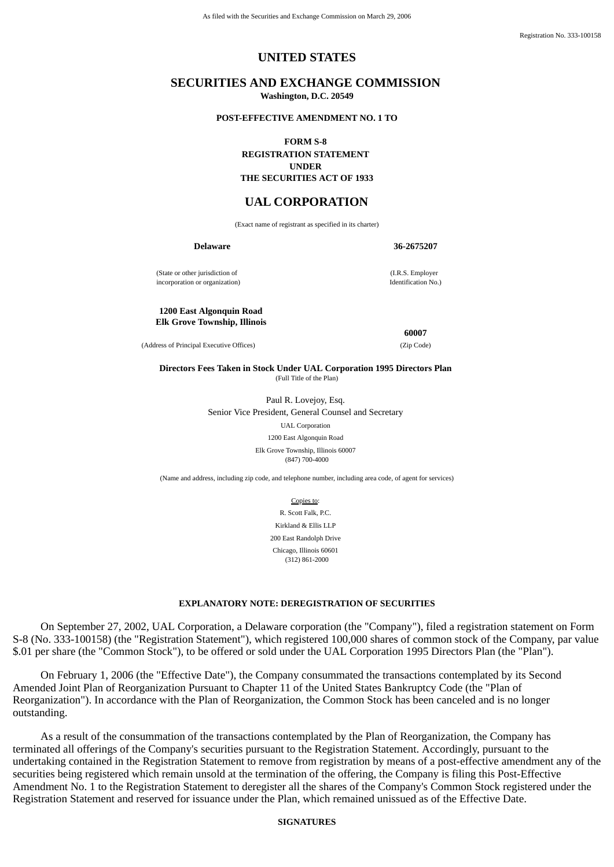Registration No. 333-100158

## **UNITED STATES**

## **SECURITIES AND EXCHANGE COMMISSION Washington, D.C. 20549**

#### **POST-EFFECTIVE AMENDMENT NO. 1 TO**

**FORM S-8**

**REGISTRATION STATEMENT UNDER THE SECURITIES ACT OF 1933**

## **UAL CORPORATION**

(Exact name of registrant as specified in its charter)

**Delaware 36-2675207**

(I.R.S. Employer Identification No.)

(State or other jurisdiction of incorporation or organization)

#### **1200 East Algonquin Road Elk Grove Township, Illinois**

(Address of Principal Executive Offices) (Zip Code)

**60007**

**Directors Fees Taken in Stock Under UAL Corporation 1995 Directors Plan** (Full Title of the Plan)

> Paul R. Lovejoy, Esq. Senior Vice President, General Counsel and Secretary

> > UAL Corporation 1200 East Algonquin Road

Elk Grove Township, Illinois 60007 (847) 700-4000

(Name and address, including zip code, and telephone number, including area code, of agent for services)

Copies to: R. Scott Falk, P.C. Kirkland & Ellis LLP 200 East Randolph Drive Chicago, Illinois 60601 (312) 861-2000

## **EXPLANATORY NOTE: DEREGISTRATION OF SECURITIES**

 On September 27, 2002, UAL Corporation, a Delaware corporation (the "Company"), filed a registration statement on Form S-8 (No. 333-100158) (the "Registration Statement"), which registered 100,000 shares of common stock of the Company, par value \$.01 per share (the "Common Stock"), to be offered or sold under the UAL Corporation 1995 Directors Plan (the "Plan").

 On February 1, 2006 (the "Effective Date"), the Company consummated the transactions contemplated by its Second Amended Joint Plan of Reorganization Pursuant to Chapter 11 of the United States Bankruptcy Code (the "Plan of Reorganization"). In accordance with the Plan of Reorganization, the Common Stock has been canceled and is no longer outstanding.

 As a result of the consummation of the transactions contemplated by the Plan of Reorganization, the Company has terminated all offerings of the Company's securities pursuant to the Registration Statement. Accordingly, pursuant to the undertaking contained in the Registration Statement to remove from registration by means of a post-effective amendment any of the securities being registered which remain unsold at the termination of the offering, the Company is filing this Post-Effective Amendment No. 1 to the Registration Statement to deregister all the shares of the Company's Common Stock registered under the Registration Statement and reserved for issuance under the Plan, which remained unissued as of the Effective Date.

## **SIGNATURES**